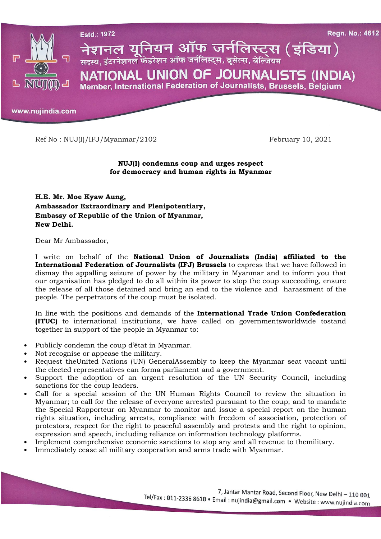

Ref No : NUJ(I)/IFJ/Myanmar/2102 February 10, 2021

## NUJ(I) condemns coup and urges respect for democracy and human rights in Myanmar

H.E. Mr. Moe Kyaw Aung, Ambassador Extraordinary and Plenipotentiary, Embassy of Republic of the Union of Myanmar, New Delhi.

Dear Mr Ambassador,

I write on behalf of the National Union of Journalists (India) affiliated to the International Federation of Journalists (IFJ) Brussels to express that we have followed in dismay the appalling seizure of power by the military in Myanmar and to inform you that our organisation has pledged to do all within its power to stop the coup succeeding, ensure the release of all those detained and bring an end to the violence and harassment of the people. The perpetrators of the coup must be isolated.

In line with the positions and demands of the International Trade Union Confederation (ITUC) to international institutions, we have called on governmentsworldwide tostand together in support of the people in Myanmar to:

- Publicly condemn the coup d'état in Myanmar.
- Not recognise or appease the military.
- Request theUnited Nations (UN) GeneralAssembly to keep the Myanmar seat vacant until the elected representatives can forma parliament and a government.
- Support the adoption of an urgent resolution of the UN Security Council, including sanctions for the coup leaders.
- Call for a special session of the UN Human Rights Council to review the situation in Myanmar; to call for the release of everyone arrested pursuant to the coup; and to mandate the Special Rapporteur on Myanmar to monitor and issue a special report on the human rights situation, including arrests, compliance with freedom of association, protection of protestors, respect for the right to peaceful assembly and protests and the right to opinion, expression and speech, including reliance on information technology platforms.
- Implement comprehensive economic sanctions to stop any and all revenue to themilitary.
- Immediately cease all military cooperation and arms trade with Myanmar.

7, Jantar Mantar Road, Second Floor, New Delhi - 110 001 Tel/Fax: 011-2336 8610 • Email: nujindia@gmail.com • Website: www.nujindia.com